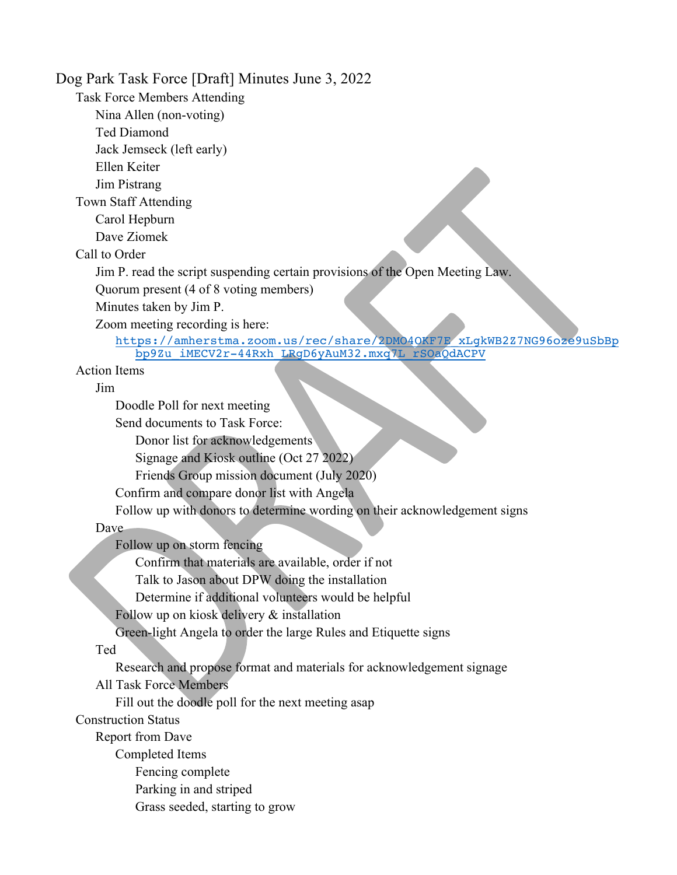Dog Park Task Force [Draft] Minutes June 3, 2022 Task Force Members Attending Nina Allen (non-voting) Ted Diamond Jack Jemseck (left early) Ellen Keiter Jim Pistrang Town Staff Attending Carol Hepburn Dave Ziomek Call to Order Jim P. read the script suspending certain provisions of the Open Meeting Law. Quorum present (4 of 8 voting members) Minutes taken by Jim P. Zoom meeting recording is here: https://amherstma.zoom.us/rec/share/2DMO4OKF7E\_xLgkWB2Z7NG96oze9uSbBp bp9Zu\_iMECV2r-44Rxh\_LRgD6yAuM32.mxq7L\_rSOaQdACPV Action Items Jim Doodle Poll for next meeting Send documents to Task Force: Donor list for acknowledgements Signage and Kiosk outline (Oct 27 2022) Friends Group mission document (July 2020) Confirm and compare donor list with Angela Follow up with donors to determine wording on their acknowledgement signs Dave Follow up on storm fencing Confirm that materials are available, order if not Talk to Jason about DPW doing the installation Determine if additional volunteers would be helpful Follow up on kiosk delivery & installation Green-light Angela to order the large Rules and Etiquette signs Ted Research and propose format and materials for acknowledgement signage All Task Force Members Fill out the doodle poll for the next meeting asap Construction Status Report from Dave Completed Items Fencing complete Parking in and striped Grass seeded, starting to grow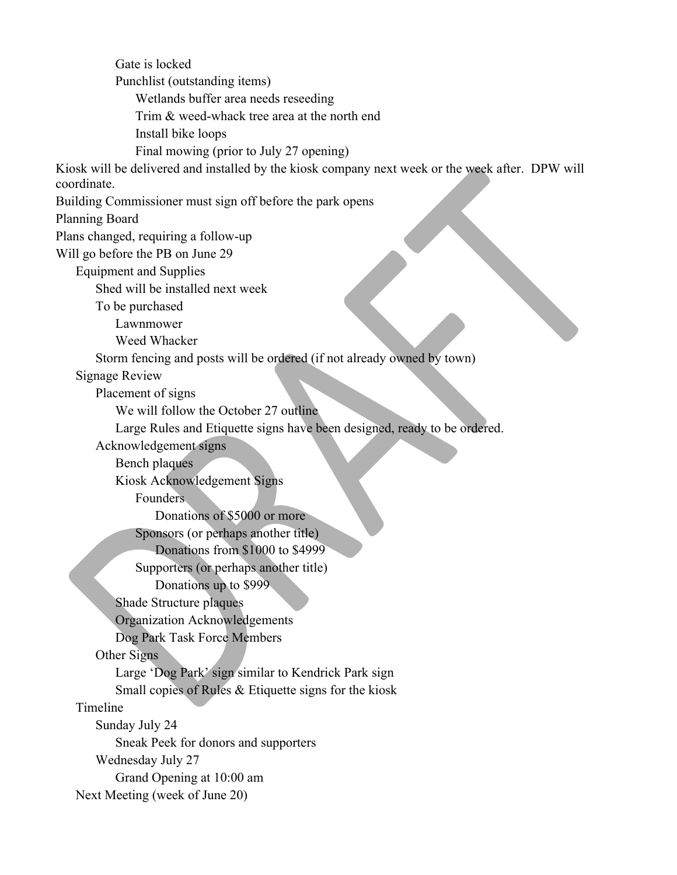Gate is locked Punchlist (outstanding items) Wetlands buffer area needs reseeding Trim & weed-whack tree area at the north end Install bike loops Final mowing (prior to July 27 opening) Kiosk will be delivered and installed by the kiosk company next week or the week after. DPW will coordinate. Building Commissioner must sign off before the park opens Planning Board Plans changed, requiring a follow-up Will go before the PB on June 29 Equipment and Supplies Shed will be installed next week To be purchased Lawnmower Weed Whacker Storm fencing and posts will be ordered (if not already owned by town) Signage Review Placement of signs We will follow the October 27 outline Large Rules and Etiquette signs have been designed, ready to be ordered. Acknowledgement signs Bench plaques Kiosk Acknowledgement Signs Founders Donations of \$5000 or more Sponsors (or perhaps another title) Donations from \$1000 to \$4999 Supporters (or perhaps another title) Donations up to \$999 Shade Structure plaques Organization Acknowledgements Dog Park Task Force Members Other Signs Large 'Dog Park' sign similar to Kendrick Park sign Small copies of Rules & Etiquette signs for the kiosk Timeline Sunday July 24 Sneak Peek for donors and supporters Wednesday July 27 Grand Opening at 10:00 am Next Meeting (week of June 20)